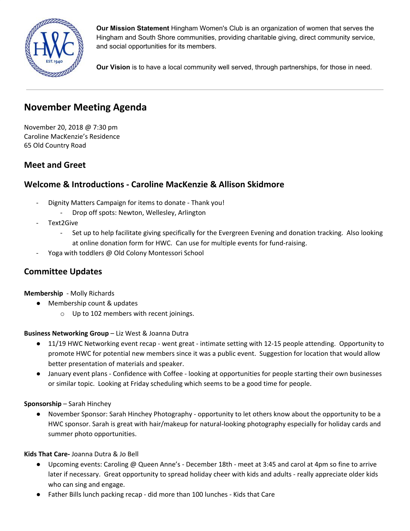

**Our Mission Statement** Hingham Women's Club is an organization of women that serves the Hingham and South Shore communities, providing charitable giving, direct community service, and social opportunities for its members.

**Our Vision** is to have a local community well served, through partnerships, for those in need.

# **November Meeting Agenda**

November 20, 2018 @ 7:30 pm Caroline MacKenzie's Residence 65 Old Country Road

# **Meet and Greet**

# **Welcome & Introductions - Caroline MacKenzie & Allison Skidmore**

- Dignity Matters Campaign for items to donate Thank you!
	- Drop off spots: Newton, Wellesley, Arlington
- Text2Give
	- Set up to help facilitate giving specifically for the Evergreen Evening and donation tracking. Also looking at online donation form for HWC. Can use for multiple events for fund-raising.
- Yoga with toddlers @ Old Colony Montessori School

# **Committee Updates**

**Membership** - Molly Richards

- Membership count & updates
	- o Up to 102 members with recent joinings.

### **Business Networking Group** – Liz West & Joanna Dutra

- 11/19 HWC Networking event recap went great intimate setting with 12-15 people attending. Opportunity to promote HWC for potential new members since it was a public event. Suggestion for location that would allow better presentation of materials and speaker.
- January event plans Confidence with Coffee looking at opportunities for people starting their own businesses or similar topic. Looking at Friday scheduling which seems to be a good time for people.

### **Sponsorship** – Sarah Hinchey

**●** November Sponsor: Sarah Hinchey Photography - opportunity to let others know about the opportunity to be a HWC sponsor. Sarah is great with hair/makeup for natural-looking photography especially for holiday cards and summer photo opportunities.

### **Kids That Care-** Joanna Dutra & Jo Bell

- Upcoming events: Caroling @ Queen Anne's December 18th meet at 3:45 and carol at 4pm so fine to arrive later if necessary. Great opportunity to spread holiday cheer with kids and adults - really appreciate older kids who can sing and engage.
- Father Bills lunch packing recap did more than 100 lunches Kids that Care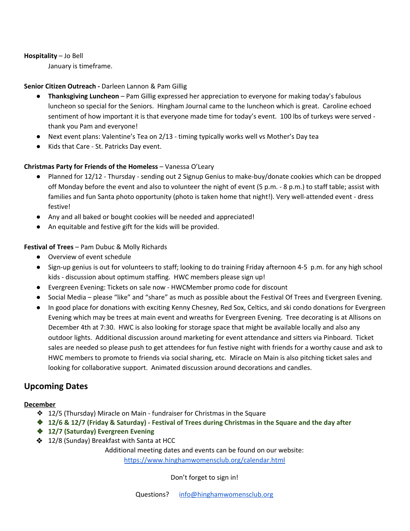#### **Hospitality** – Jo Bell

January is timeframe.

# **Senior Citizen Outreach -** Darleen Lannon & Pam Gillig

- **Thanksgiving Luncheon** Pam Gillig expressed her appreciation to everyone for making today's fabulous luncheon so special for the Seniors. Hingham Journal came to the luncheon which is great. Caroline echoed sentiment of how important it is that everyone made time for today's event. 100 lbs of turkeys were served thank you Pam and everyone!
- Next event plans: Valentine's Tea on 2/13 timing typically works well vs Mother's Day tea
- Kids that Care St. Patricks Day event.

# **Christmas Party for Friends of the Homeless** – Vanessa O'Leary

- Planned for 12/12 Thursday sending out 2 Signup Genius to make-buy/donate cookies which can be dropped off Monday before the event and also to volunteer the night of event (5 p.m. - 8 p.m.) to staff table; assist with families and fun Santa photo opportunity (photo is taken home that night!). Very well-attended event - dress festive!
- Any and all baked or bought cookies will be needed and appreciated!
- An equitable and festive gift for the kids will be provided.

# **Festival of Trees** – Pam Dubuc & Molly Richards

- Overview of event schedule
- Sign-up genius is out for volunteers to staff; looking to do training Friday afternoon 4-5 p.m. for any high school kids - discussion about optimum staffing. HWC members please sign up!
- Evergreen Evening: Tickets on sale now HWCMember promo code for discount
- Social Media please "like" and "share" as much as possible about the Festival Of Trees and Evergreen Evening.
- In good place for donations with exciting Kenny Chesney, Red Sox, Celtics, and ski condo donations for Evergreen Evening which may be trees at main event and wreaths for Evergreen Evening. Tree decorating is at Allisons on December 4th at 7:30. HWC is also looking for storage space that might be available locally and also any outdoor lights. Additional discussion around marketing for event attendance and sitters via Pinboard. Ticket sales are needed so please push to get attendees for fun festive night with friends for a worthy cause and ask to HWC members to promote to friends via social sharing, etc. Miracle on Main is also pitching ticket sales and looking for collaborative support. Animated discussion around decorations and candles.

# **Upcoming Dates**

### **December**

- ❖ 12/5 (Thursday) Miracle on Main fundraiser for Christmas in the Square
- $\text{\textcircled{*}}$  12/6 & 12/7 (Friday & Saturday) Festival of Trees during Christmas in the Square and the day after
- ❖ **12/7 (Saturday) Evergreen Evening**
- ❖ 12/8 (Sunday) Breakfast with Santa at HCC

Additional meeting dates and events can be found on our website:

<https://www.hinghamwomensclub.org/calendar.html>

Don't forget to sign in!

Questions? [info@hinghamwomensclub.org](mailto:info@hinghamwomensclub.org)